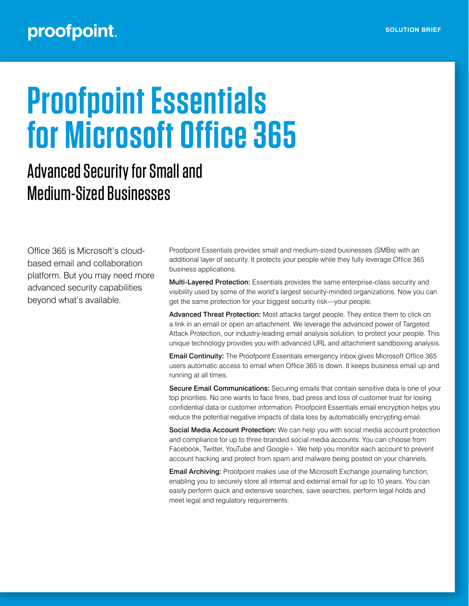## proofpoint.

# **Proofpoint Essentials for Microsoft Office 365**

## Advanced Security for Small and Medium-Sized Businesses

Office 365 is Microsoft's cloudbased email and collaboration platform. But you may need more advanced security capabilities beyond what's available.

Proofpoint Essentials provides small and medium-sized businesses (SMBs) with an additional layer of security. It protects your people while they fully leverage Office 365 business applications.

Multi-Layered Protection: Essentials provides the same enterprise-class security and visibility used by some of the world's largest security-minded organizations. Now you can get the same protection for your biggest security risk—your people.

Advanced Threat Protection: Most attacks target people. They entice them to click on a link in an email or open an attachment. We leverage the advanced power of Targeted Attack Protection, our industry-leading email analysis solution, to protect your people. This unique technology provides you with advanced URL and attachment sandboxing analysis.

Email Continuity: The Proofpoint Essentials emergency inbox gives Microsoft Office 365 users automatic access to email when Office 365 is down. It keeps business email up and running at all times.

Secure Email Communications: Securing emails that contain sensitive data is one of your top priorities. No one wants to face fines, bad press and loss of customer trust for losing confidential data or customer information. Proofpoint Essentials email encryption helps you reduce the potential negative impacts of data loss by automatically encrypting email.

Social Media Account Protection: We can help you with social media account protection and compliance for up to three branded social media accounts. You can choose from Facebook, Twitter, YouTube and Google+. We help you monitor each account to prevent account hacking and protect from spam and malware being posted on your channels.

Email Archiving: Proofpoint makes use of the Microsoft Exchange journaling function, enabling you to securely store all internal and external email for up to 10 years. You can easily perform quick and extensive searches, save searches, perform legal holds and meet legal and regulatory requirements.